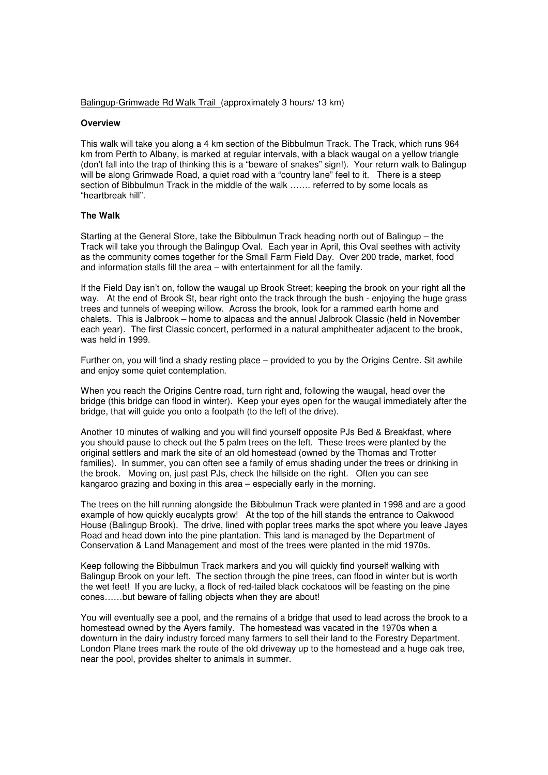## Balingup-Grimwade Rd Walk Trail (approximately 3 hours/ 13 km)

## **Overview**

This walk will take you along a 4 km section of the Bibbulmun Track. The Track, which runs 964 km from Perth to Albany, is marked at regular intervals, with a black waugal on a yellow triangle (don't fall into the trap of thinking this is a "beware of snakes" sign!). Your return walk to Balingup will be along Grimwade Road, a quiet road with a "country lane" feel to it. There is a steep section of Bibbulmun Track in the middle of the walk ....... referred to by some locals as "heartbreak hill".

## **The Walk**

Starting at the General Store, take the Bibbulmun Track heading north out of Balingup – the Track will take you through the Balingup Oval. Each year in April, this Oval seethes with activity as the community comes together for the Small Farm Field Day. Over 200 trade, market, food and information stalls fill the area – with entertainment for all the family.

If the Field Day isn't on, follow the waugal up Brook Street; keeping the brook on your right all the way. At the end of Brook St, bear right onto the track through the bush - enjoying the huge grass trees and tunnels of weeping willow. Across the brook, look for a rammed earth home and chalets. This is Jalbrook – home to alpacas and the annual Jalbrook Classic (held in November each year). The first Classic concert, performed in a natural amphitheater adjacent to the brook, was held in 1999.

Further on, you will find a shady resting place – provided to you by the Origins Centre. Sit awhile and enjoy some quiet contemplation.

When you reach the Origins Centre road, turn right and, following the waugal, head over the bridge (this bridge can flood in winter). Keep your eyes open for the waugal immediately after the bridge, that will guide you onto a footpath (to the left of the drive).

Another 10 minutes of walking and you will find yourself opposite PJs Bed & Breakfast, where you should pause to check out the 5 palm trees on the left. These trees were planted by the original settlers and mark the site of an old homestead (owned by the Thomas and Trotter families). In summer, you can often see a family of emus shading under the trees or drinking in the brook. Moving on, just past PJs, check the hillside on the right. Often you can see kangaroo grazing and boxing in this area – especially early in the morning.

The trees on the hill running alongside the Bibbulmun Track were planted in 1998 and are a good example of how quickly eucalypts grow! At the top of the hill stands the entrance to Oakwood House (Balingup Brook). The drive, lined with poplar trees marks the spot where you leave Jayes Road and head down into the pine plantation. This land is managed by the Department of Conservation & Land Management and most of the trees were planted in the mid 1970s.

Keep following the Bibbulmun Track markers and you will quickly find yourself walking with Balingup Brook on your left. The section through the pine trees, can flood in winter but is worth the wet feet! If you are lucky, a flock of red-tailed black cockatoos will be feasting on the pine cones……but beware of falling objects when they are about!

You will eventually see a pool, and the remains of a bridge that used to lead across the brook to a homestead owned by the Ayers family. The homestead was vacated in the 1970s when a downturn in the dairy industry forced many farmers to sell their land to the Forestry Department. London Plane trees mark the route of the old driveway up to the homestead and a huge oak tree, near the pool, provides shelter to animals in summer.